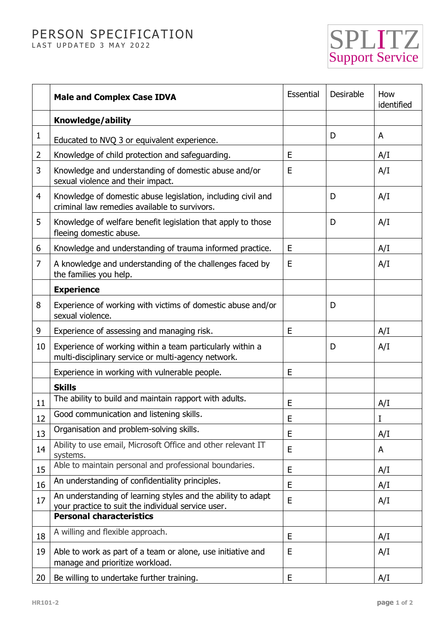## PERSON SPECIFICATION LAST UPDATED 3 MAY 2022

SPLITZ Support Service

|    | <b>Male and Complex Case IDVA</b>                                                                                  | Essential | Desirable | How<br>identified |
|----|--------------------------------------------------------------------------------------------------------------------|-----------|-----------|-------------------|
|    | Knowledge/ability                                                                                                  |           |           |                   |
| 1  | Educated to NVQ 3 or equivalent experience.                                                                        |           | D         | A                 |
| 2  | Knowledge of child protection and safeguarding.                                                                    | E         |           | A/I               |
| 3  | Knowledge and understanding of domestic abuse and/or<br>sexual violence and their impact.                          | E         |           | A/I               |
| 4  | Knowledge of domestic abuse legislation, including civil and<br>criminal law remedies available to survivors.      |           | D         | A/I               |
| 5  | Knowledge of welfare benefit legislation that apply to those<br>fleeing domestic abuse.                            |           | D         | A/I               |
| 6  | Knowledge and understanding of trauma informed practice.                                                           | E         |           | A/I               |
| 7  | A knowledge and understanding of the challenges faced by<br>the families you help.                                 | Ε         |           | A/I               |
|    | <b>Experience</b>                                                                                                  |           |           |                   |
| 8  | Experience of working with victims of domestic abuse and/or<br>sexual violence.                                    |           | D         |                   |
| 9  | Experience of assessing and managing risk.                                                                         | E         |           | A/I               |
| 10 | Experience of working within a team particularly within a<br>multi-disciplinary service or multi-agency network.   |           | D         | A/I               |
|    | Experience in working with vulnerable people.                                                                      | E         |           |                   |
|    | <b>Skills</b>                                                                                                      |           |           |                   |
| 11 | The ability to build and maintain rapport with adults.                                                             | E         |           | A/I               |
| 12 | Good communication and listening skills.                                                                           | E         |           | I                 |
| 13 | Organisation and problem-solving skills.                                                                           | E         |           | A/I               |
| 14 | Ability to use email, Microsoft Office and other relevant IT<br>systems.                                           | E         |           | A                 |
| 15 | Able to maintain personal and professional boundaries.                                                             | E         |           | A/I               |
| 16 | An understanding of confidentiality principles.                                                                    | E         |           | A/I               |
| 17 | An understanding of learning styles and the ability to adapt<br>your practice to suit the individual service user. | E         |           | A/I               |
|    | <b>Personal characteristics</b>                                                                                    |           |           |                   |
| 18 | A willing and flexible approach.                                                                                   | E         |           | A/I               |
| 19 | Able to work as part of a team or alone, use initiative and<br>manage and prioritize workload.                     | Е         |           | A/I               |
| 20 | Be willing to undertake further training.                                                                          | E         |           | A/I               |